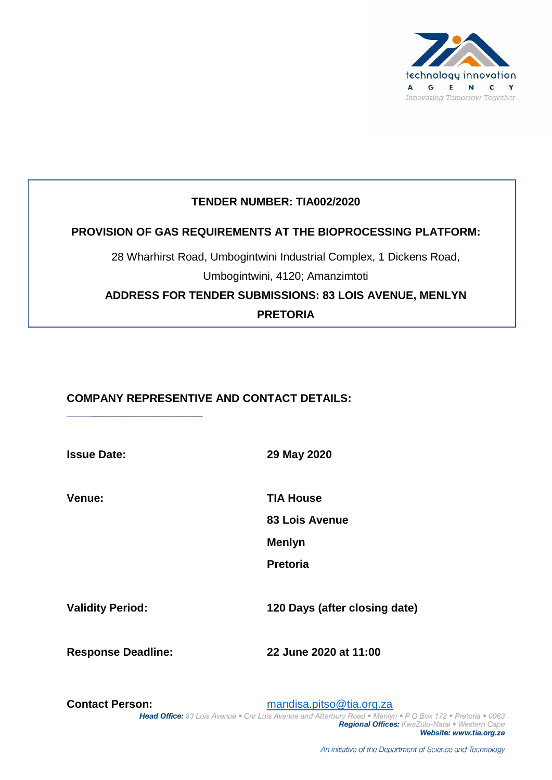

# **TENDER NUMBER: TIA002/2020**

# **PROVISION OF GAS REQUIREMENTS AT THE BIOPROCESSING PLATFORM:**

28 Wharhirst Road, Umbogintwini Industrial Complex, 1 Dickens Road, Umbogintwini, 4120; Amanzimtoti

**ADDRESS FOR TENDER SUBMISSIONS: 83 LOIS AVENUE, MENLYN PRETORIA**

# **COMPANY REPRESENTIVE AND CONTACT DETAILS:**

**\_\_\_\_\_\_\_\_\_\_\_\_\_\_\_\_\_\_\_\_\_\_**

**Issue Date: 29 May 2020**

**Venue: TIA House**

**83 Lois Avenue**

**Menlyn**

**Pretoria**

**Validity Period: 120 Days (after closing date)**

**Response Deadline: 22 June 2020 at 11:00**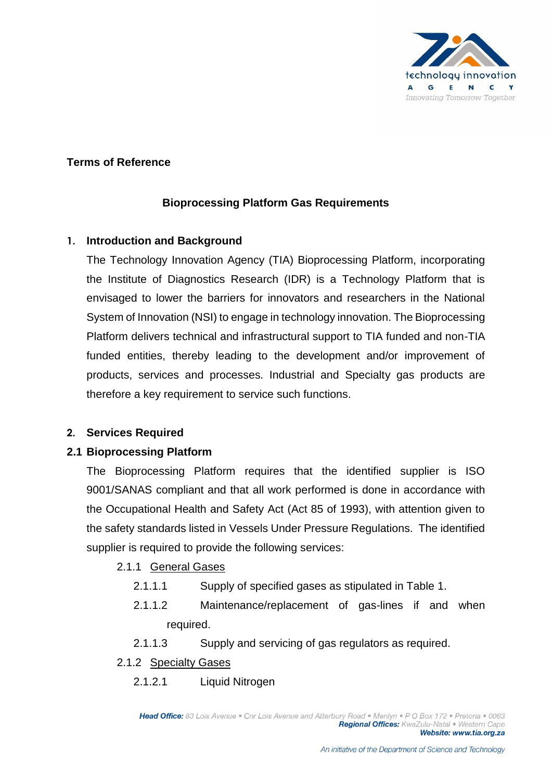

# **Terms of Reference**

# **Bioprocessing Platform Gas Requirements**

## **1. Introduction and Background**

The Technology Innovation Agency (TIA) Bioprocessing Platform, incorporating the Institute of Diagnostics Research (IDR) is a Technology Platform that is envisaged to lower the barriers for innovators and researchers in the National System of Innovation (NSI) to engage in technology innovation. The Bioprocessing Platform delivers technical and infrastructural support to TIA funded and non-TIA funded entities, thereby leading to the development and/or improvement of products, services and processes. Industrial and Specialty gas products are therefore a key requirement to service such functions.

## **2. Services Required**

## **2.1 Bioprocessing Platform**

The Bioprocessing Platform requires that the identified supplier is ISO 9001/SANAS compliant and that all work performed is done in accordance with the Occupational Health and Safety Act (Act 85 of 1993), with attention given to the safety standards listed in Vessels Under Pressure Regulations. The identified supplier is required to provide the following services:

- 2.1.1 General Gases
	- 2.1.1.1 Supply of specified gases as stipulated in Table 1.
	- 2.1.1.2 Maintenance/replacement of gas-lines if and when required.
	- 2.1.1.3 Supply and servicing of gas regulators as required.
- 2.1.2 Specialty Gases
	- 2.1.2.1 Liquid Nitrogen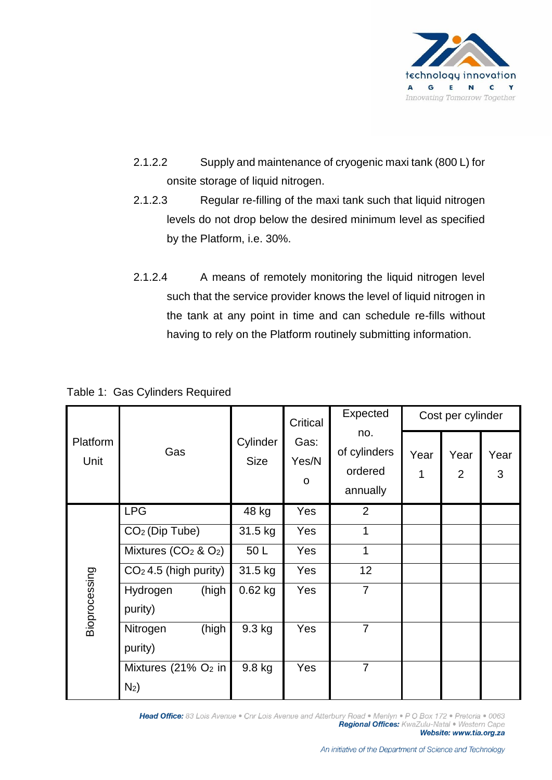

- 2.1.2.2 Supply and maintenance of cryogenic maxi tank (800 L) for onsite storage of liquid nitrogen.
- 2.1.2.3 Regular re-filling of the maxi tank such that liquid nitrogen levels do not drop below the desired minimum level as specified by the Platform, i.e. 30%.
- 2.1.2.4 A means of remotely monitoring the liquid nitrogen level such that the service provider knows the level of liquid nitrogen in the tank at any point in time and can schedule re-fills without having to rely on the Platform routinely submitting information.

|                  |                                            | Cylinder<br><b>Size</b> | Critical           | Expected                                   |           | Cost per cylinder      |           |
|------------------|--------------------------------------------|-------------------------|--------------------|--------------------------------------------|-----------|------------------------|-----------|
| Platform<br>Unit | Gas                                        |                         | Gas:<br>Yes/N<br>O | no.<br>of cylinders<br>ordered<br>annually | Year<br>1 | Year<br>$\overline{2}$ | Year<br>3 |
|                  | <b>LPG</b>                                 | 48 kg                   | <b>Yes</b>         | 2                                          |           |                        |           |
|                  | CO <sub>2</sub> (Dip Tube)                 | 31.5 kg                 | Yes                | 1                                          |           |                        |           |
|                  | Mixtures $(CO2 & O2)$                      | 50L                     | <b>Yes</b>         | 1                                          |           |                        |           |
|                  | $CO2$ 4.5 (high purity)                    | 31.5 kg                 | Yes                | 12                                         |           |                        |           |
| Bioprocessing    | Hydrogen<br>(high<br>purity)               | $0.62$ kg               | Yes                | $\overline{7}$                             |           |                        |           |
|                  | (high<br>Nitrogen<br>purity)               | 9.3 kg                  | Yes                | $\overline{7}$                             |           |                        |           |
|                  | Mixtures (21% O <sub>2</sub> in<br>$N_2$ ) | 9.8 kg                  | Yes                | $\overline{7}$                             |           |                        |           |

Table 1: Gas Cylinders Required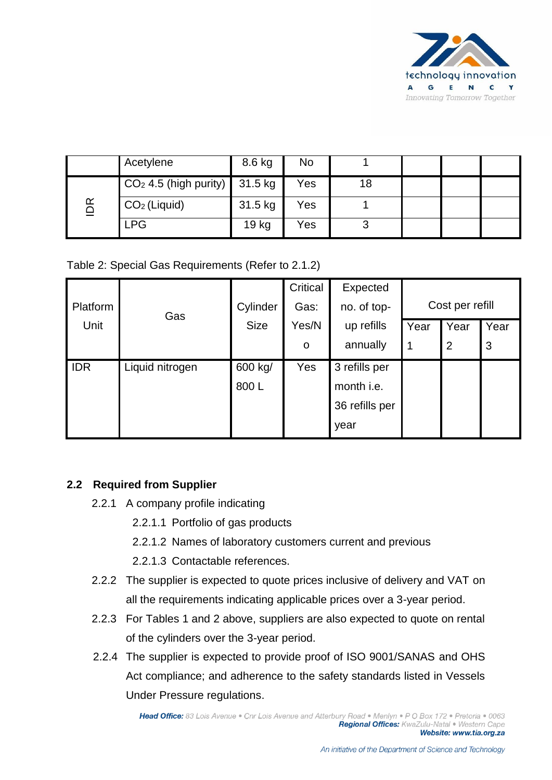

|                         | Acetylene                                                 | 8.6 kg  | No  |    |  |  |
|-------------------------|-----------------------------------------------------------|---------|-----|----|--|--|
|                         | $\vert$ CO <sub>2</sub> 4.5 (high purity) $\vert$ 31.5 kg |         | Yes | 18 |  |  |
| ≃<br>$\bar{\mathbf{Q}}$ | $CO2$ (Liquid)                                            | 31.5 kg | Yes |    |  |  |
|                         | <b>LPG</b>                                                | 19 kg   | Yes |    |  |  |

Table 2: Special Gas Requirements (Refer to 2.1.2)

|            |                 |             | Critical | Expected       |      |                 |      |
|------------|-----------------|-------------|----------|----------------|------|-----------------|------|
| Platform   | Gas             | Cylinder    | Gas:     | no. of top-    |      | Cost per refill |      |
| Unit       |                 | <b>Size</b> | Yes/N    | up refills     | Year | Year            | Year |
|            |                 |             | O        | annually       | 1    | 2               | 3    |
| <b>IDR</b> | Liquid nitrogen | 600 kg/     | Yes      | 3 refills per  |      |                 |      |
|            |                 | 800L        |          | month i.e.     |      |                 |      |
|            |                 |             |          | 36 refills per |      |                 |      |
|            |                 |             |          | year           |      |                 |      |

## **2.2 Required from Supplier**

- 2.2.1 A company profile indicating
	- 2.2.1.1 Portfolio of gas products
	- 2.2.1.2 Names of laboratory customers current and previous
	- 2.2.1.3 Contactable references.
- 2.2.2 The supplier is expected to quote prices inclusive of delivery and VAT on all the requirements indicating applicable prices over a 3-year period.
- 2.2.3 For Tables 1 and 2 above, suppliers are also expected to quote on rental of the cylinders over the 3-year period.
- 2.2.4 The supplier is expected to provide proof of ISO 9001/SANAS and OHS Act compliance; and adherence to the safety standards listed in Vessels Under Pressure regulations.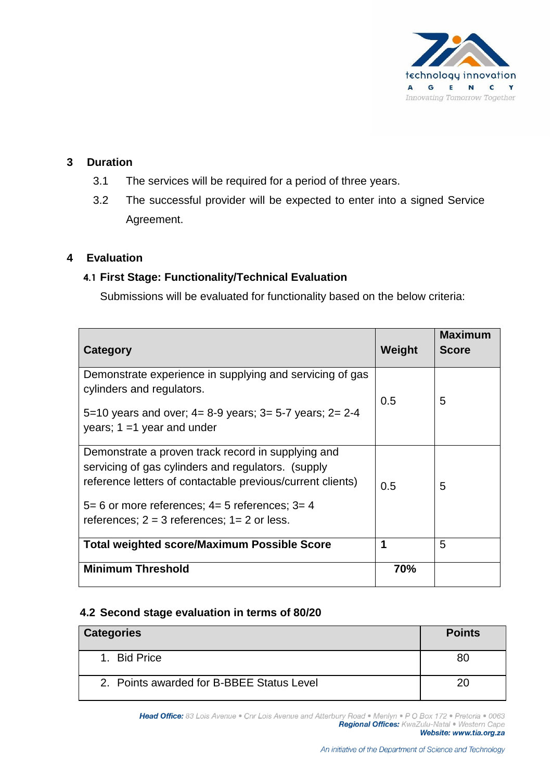

# **3 Duration**

- 3.1 The services will be required for a period of three years.
- 3.2 The successful provider will be expected to enter into a signed Service Agreement.

## **4 Evaluation**

# **4.1 First Stage: Functionality/Technical Evaluation**

Submissions will be evaluated for functionality based on the below criteria:

| Category                                                                                                                                                               | Weight | Maximum<br><b>Score</b> |
|------------------------------------------------------------------------------------------------------------------------------------------------------------------------|--------|-------------------------|
| Demonstrate experience in supplying and servicing of gas<br>cylinders and regulators.                                                                                  | 0.5    | 5                       |
| 5=10 years and over; $4=8-9$ years; $3=5-7$ years; $2=2-4$<br>years; $1 = 1$ year and under                                                                            |        |                         |
| Demonstrate a proven track record in supplying and<br>servicing of gas cylinders and regulators. (supply<br>reference letters of contactable previous/current clients) | 0.5    | 5                       |
| $5=6$ or more references; $4=5$ references; $3=4$<br>references; $2 = 3$ references; $1 = 2$ or less.                                                                  |        |                         |
| <b>Total weighted score/Maximum Possible Score</b>                                                                                                                     | 1      | 5                       |
| <b>Minimum Threshold</b>                                                                                                                                               | 70%    |                         |

## **4.2 Second stage evaluation in terms of 80/20**

| <b>Categories</b>                         | <b>Points</b> |
|-------------------------------------------|---------------|
| 1. Bid Price                              |               |
| 2. Points awarded for B-BBEE Status Level |               |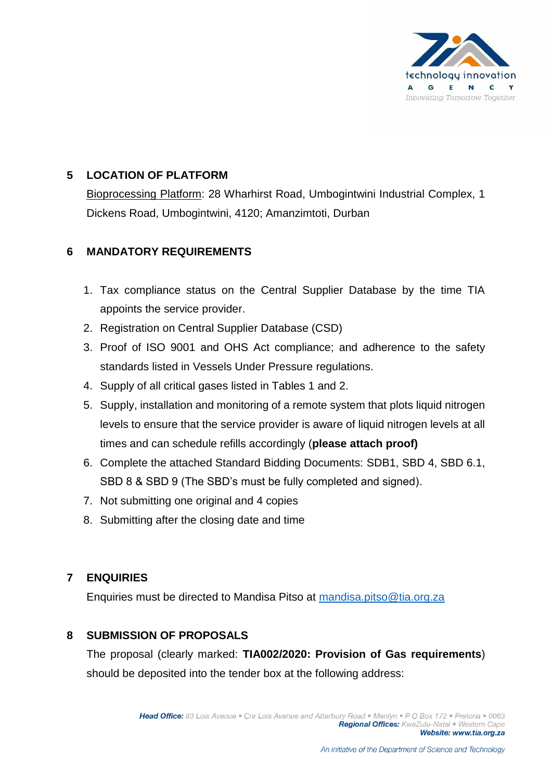

# **5 LOCATION OF PLATFORM**

Bioprocessing Platform: 28 Wharhirst Road, Umbogintwini Industrial Complex, 1 Dickens Road, Umbogintwini, 4120; Amanzimtoti, Durban

# **6 MANDATORY REQUIREMENTS**

- 1. Tax compliance status on the Central Supplier Database by the time TIA appoints the service provider.
- 2. Registration on Central Supplier Database (CSD)
- 3. Proof of ISO 9001 and OHS Act compliance; and adherence to the safety standards listed in Vessels Under Pressure regulations.
- 4. Supply of all critical gases listed in Tables 1 and 2.
- 5. Supply, installation and monitoring of a remote system that plots liquid nitrogen levels to ensure that the service provider is aware of liquid nitrogen levels at all times and can schedule refills accordingly (**please attach proof)**
- 6. Complete the attached Standard Bidding Documents: SDB1, SBD 4, SBD 6.1, SBD 8 & SBD 9 (The SBD's must be fully completed and signed).
- 7. Not submitting one original and 4 copies
- 8. Submitting after the closing date and time

# **7 ENQUIRIES**

Enquiries must be directed to Mandisa Pitso at [mandisa.pitso@tia.org.za](mailto:mandisa.pitso@tia.org.za)

# **8 SUBMISSION OF PROPOSALS**

The proposal (clearly marked: **TIA002/2020: Provision of Gas requirements**) should be deposited into the tender box at the following address: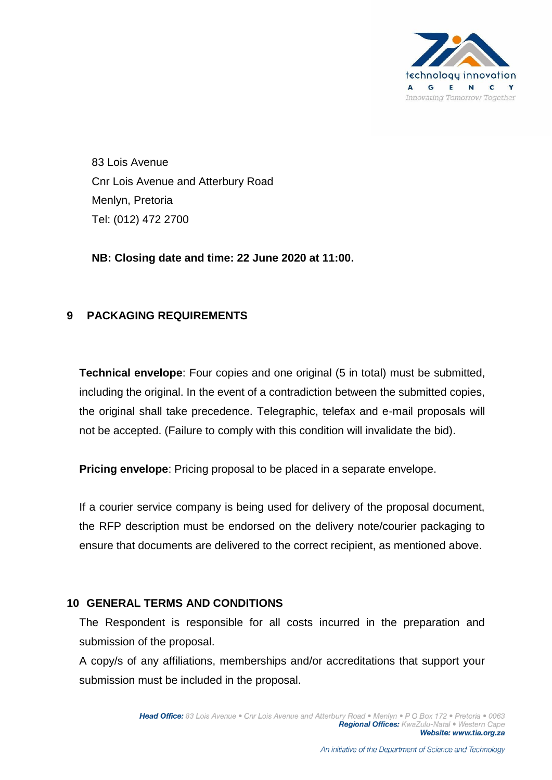

83 Lois Avenue Cnr Lois Avenue and Atterbury Road Menlyn, Pretoria Tel: (012) 472 2700

**NB: Closing date and time: 22 June 2020 at 11:00.**

# **9 PACKAGING REQUIREMENTS**

**Technical envelope**: Four copies and one original (5 in total) must be submitted, including the original. In the event of a contradiction between the submitted copies, the original shall take precedence. Telegraphic, telefax and e-mail proposals will not be accepted. (Failure to comply with this condition will invalidate the bid).

**Pricing envelope**: Pricing proposal to be placed in a separate envelope.

If a courier service company is being used for delivery of the proposal document, the RFP description must be endorsed on the delivery note/courier packaging to ensure that documents are delivered to the correct recipient, as mentioned above.

## **10 GENERAL TERMS AND CONDITIONS**

The Respondent is responsible for all costs incurred in the preparation and submission of the proposal.

A copy/s of any affiliations, memberships and/or accreditations that support your submission must be included in the proposal.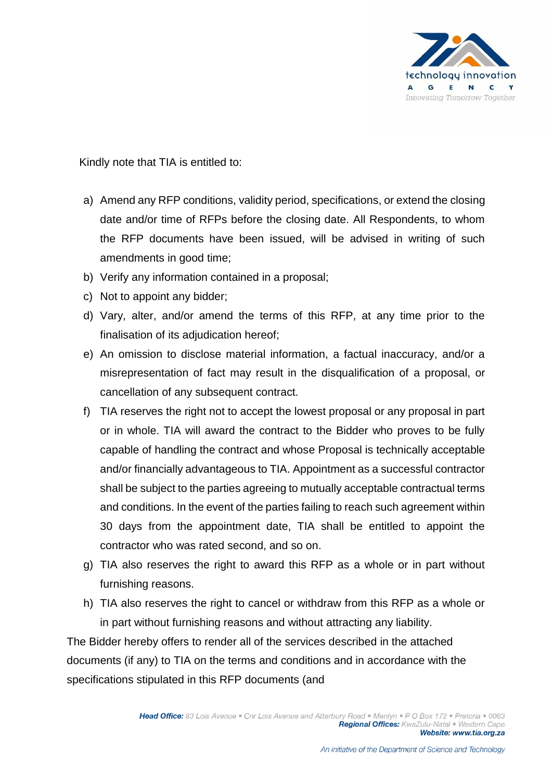

Kindly note that TIA is entitled to:

- a) Amend any RFP conditions, validity period, specifications, or extend the closing date and/or time of RFPs before the closing date. All Respondents, to whom the RFP documents have been issued, will be advised in writing of such amendments in good time;
- b) Verify any information contained in a proposal;
- c) Not to appoint any bidder;
- d) Vary, alter, and/or amend the terms of this RFP, at any time prior to the finalisation of its adjudication hereof;
- e) An omission to disclose material information, a factual inaccuracy, and/or a misrepresentation of fact may result in the disqualification of a proposal, or cancellation of any subsequent contract.
- f) TIA reserves the right not to accept the lowest proposal or any proposal in part or in whole. TIA will award the contract to the Bidder who proves to be fully capable of handling the contract and whose Proposal is technically acceptable and/or financially advantageous to TIA. Appointment as a successful contractor shall be subject to the parties agreeing to mutually acceptable contractual terms and conditions. In the event of the parties failing to reach such agreement within 30 days from the appointment date, TIA shall be entitled to appoint the contractor who was rated second, and so on.
- g) TIA also reserves the right to award this RFP as a whole or in part without furnishing reasons.
- h) TIA also reserves the right to cancel or withdraw from this RFP as a whole or in part without furnishing reasons and without attracting any liability.

The Bidder hereby offers to render all of the services described in the attached documents (if any) to TIA on the terms and conditions and in accordance with the specifications stipulated in this RFP documents (and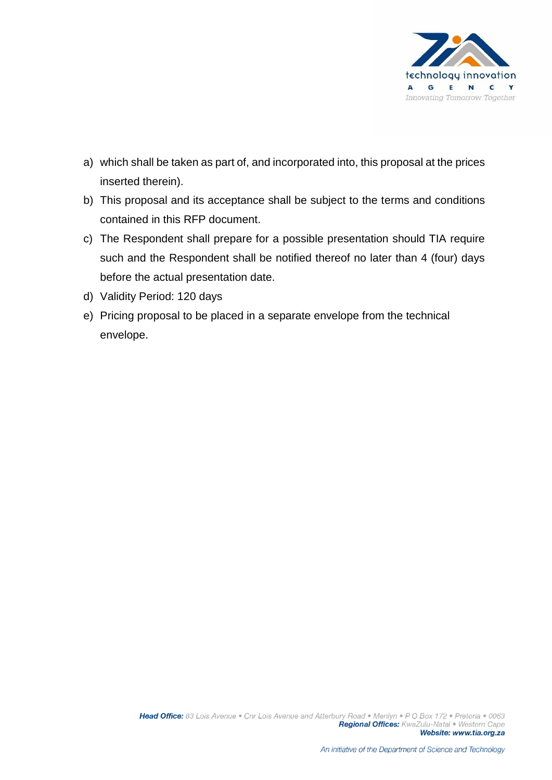

- a) which shall be taken as part of, and incorporated into, this proposal at the prices inserted therein).
- b) This proposal and its acceptance shall be subject to the terms and conditions contained in this RFP document.
- c) The Respondent shall prepare for a possible presentation should TIA require such and the Respondent shall be notified thereof no later than 4 (four) days before the actual presentation date.
- d) Validity Period: 120 days
- e) Pricing proposal to be placed in a separate envelope from the technical envelope.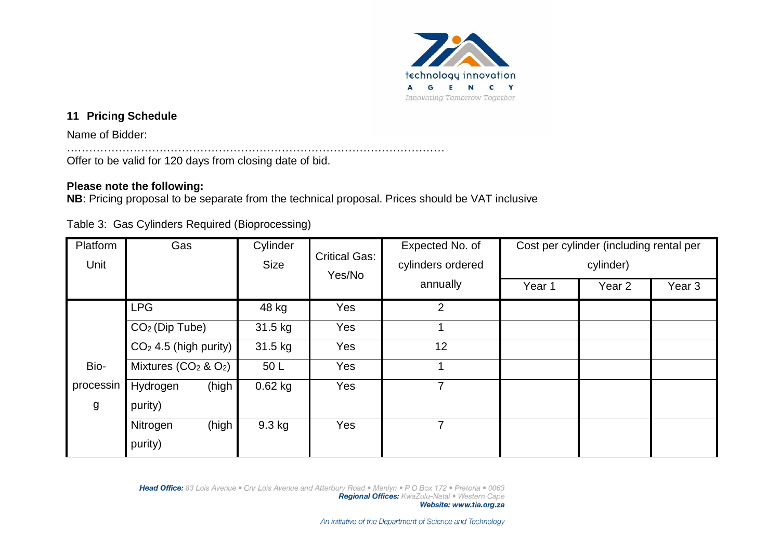

# **11 Pricing Schedule**

Name of Bidder:

………………………………………………………………………………………… Offer to be valid for 120 days from closing date of bid.

## **Please note the following:**

**NB**: Pricing proposal to be separate from the technical proposal. Prices should be VAT inclusive

Table 3: Gas Cylinders Required (Bioprocessing)

| Platform<br>Unit | Gas                     | Cylinder<br><b>Size</b> | <b>Critical Gas:</b><br>Yes/No | Expected No. of<br>cylinders ordered | Cost per cylinder (including rental per<br>cylinder) |        |                   |  |
|------------------|-------------------------|-------------------------|--------------------------------|--------------------------------------|------------------------------------------------------|--------|-------------------|--|
|                  |                         |                         |                                | annually                             | Year 1                                               | Year 2 | Year <sub>3</sub> |  |
|                  | <b>LPG</b>              | 48 kg                   | Yes                            | $\overline{2}$                       |                                                      |        |                   |  |
|                  | $CO2$ (Dip Tube)        | 31.5 kg                 | Yes                            |                                      |                                                      |        |                   |  |
|                  | $CO2$ 4.5 (high purity) | 31.5 kg                 | <b>Yes</b>                     | 12                                   |                                                      |        |                   |  |
| Bio-             | Mixtures $(CO2$ & $O2)$ | 50L                     | Yes                            |                                      |                                                      |        |                   |  |
| processin        | (high<br>Hydrogen       | $0.62$ kg               | Yes                            | 7                                    |                                                      |        |                   |  |
| $\mathsf{g}$     | purity)                 |                         |                                |                                      |                                                      |        |                   |  |
|                  | (high<br>Nitrogen       | $9.3$ kg                | Yes                            | 7                                    |                                                      |        |                   |  |
|                  | purity)                 |                         |                                |                                      |                                                      |        |                   |  |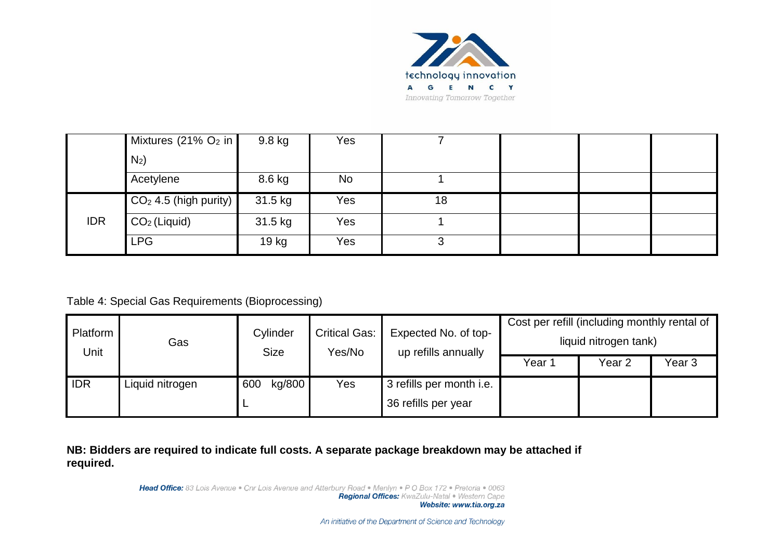

|            | Mixtures (21% $O2$ in   | 9.8 kg  | Yes |    |  |  |
|------------|-------------------------|---------|-----|----|--|--|
|            | $N_2$ )                 |         |     |    |  |  |
|            | Acetylene               | 8.6 kg  | No. |    |  |  |
|            | $CO2$ 4.5 (high purity) | 31.5 kg | Yes | 18 |  |  |
| <b>IDR</b> | $CO2$ (Liquid)          | 31.5 kg | Yes |    |  |  |
|            | <b>LPG</b>              | 19 kg   | Yes |    |  |  |

# Table 4: Special Gas Requirements (Bioprocessing)

| Platform<br>Unit | Gas             | Cylinder<br><b>Size</b> | <b>Critical Gas:</b><br>Yes/No | Expected No. of top-<br>up refills annually | Cost per refill (including monthly rental of | liquid nitrogen tank) |                   |
|------------------|-----------------|-------------------------|--------------------------------|---------------------------------------------|----------------------------------------------|-----------------------|-------------------|
|                  |                 |                         |                                |                                             | Year 1                                       | Year <sub>2</sub>     | Year <sub>3</sub> |
| <b>IDR</b>       | Liquid nitrogen | kg/800<br>600           | Yes                            | 3 refills per month i.e.                    |                                              |                       |                   |
|                  |                 |                         |                                | 36 refills per year                         |                                              |                       |                   |

## **NB: Bidders are required to indicate full costs. A separate package breakdown may be attached if required.**

Head Office: 83 Lois Avenue . Cnr Lois Avenue and Atterbury Road . Menlyn . P O Box 172 . Pretoria . 0063 Regional Offices: KwaZulu-Natal . Western Cape Website: www.tia.org.za

An initiative of the Department of Science and Technology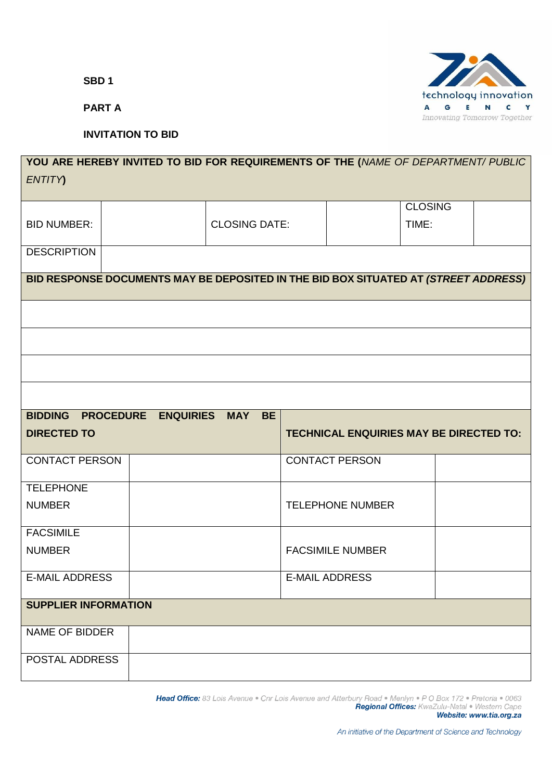**SBD 1**

**PART A**

# **INVITATION TO BID**

# **YOU ARE HEREBY INVITED TO BID FOR REQUIREMENTS OF THE (***NAME OF DEPARTMENT/ PUBLIC ENTITY***)** BID NUMBER:  $\vert$  (CLOSING DATE: **CLOSING** TIME: **DESCRIPTION BID RESPONSE DOCUMENTS MAY BE DEPOSITED IN THE BID BOX SITUATED AT** *(STREET ADDRESS)* **BIDDING PROCEDURE ENQUIRIES MAY BE DIRECTED TO TECHNICAL ENQUIRIES MAY BE DIRECTED TO:** CONTACT PERSON GENERAL CONTACT PERSON **TELEPHONE** NUMBER TELEPHONE NUMBER FACSIMILE NUMBER FACSIMILE NUMBER E-MAIL ADDRESS | E-MAIL ADDRESS **SUPPLIER INFORMATION** NAME OF BIDDER POSTAL ADDRESS

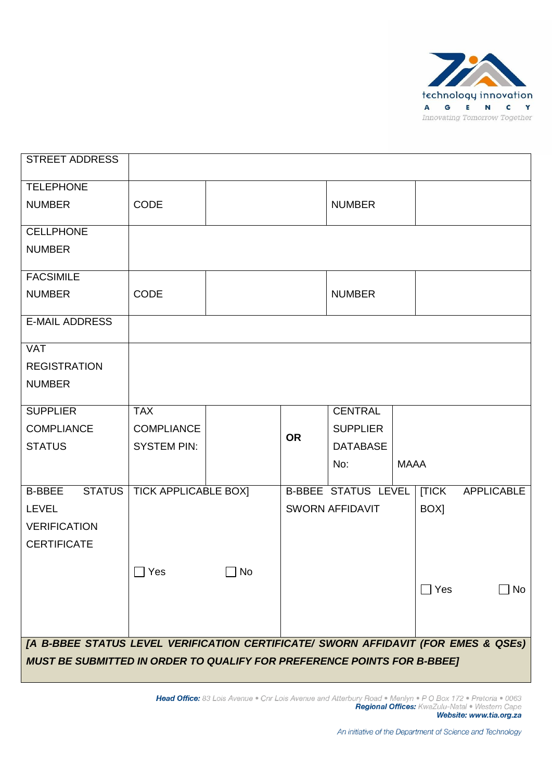

| <b>STREET ADDRESS</b>                                                              |                             |             |           |                            |             |            |                   |
|------------------------------------------------------------------------------------|-----------------------------|-------------|-----------|----------------------------|-------------|------------|-------------------|
| <b>TELEPHONE</b>                                                                   |                             |             |           |                            |             |            |                   |
| <b>NUMBER</b>                                                                      | <b>CODE</b>                 |             |           | <b>NUMBER</b>              |             |            |                   |
| <b>CELLPHONE</b>                                                                   |                             |             |           |                            |             |            |                   |
| <b>NUMBER</b>                                                                      |                             |             |           |                            |             |            |                   |
| <b>FACSIMILE</b>                                                                   |                             |             |           |                            |             |            |                   |
| <b>NUMBER</b>                                                                      | <b>CODE</b>                 |             |           | <b>NUMBER</b>              |             |            |                   |
| <b>E-MAIL ADDRESS</b>                                                              |                             |             |           |                            |             |            |                   |
| <b>VAT</b>                                                                         |                             |             |           |                            |             |            |                   |
| <b>REGISTRATION</b>                                                                |                             |             |           |                            |             |            |                   |
| <b>NUMBER</b>                                                                      |                             |             |           |                            |             |            |                   |
| <b>SUPPLIER</b>                                                                    | <b>TAX</b>                  |             |           | <b>CENTRAL</b>             |             |            |                   |
| <b>COMPLIANCE</b>                                                                  | <b>COMPLIANCE</b>           |             |           | <b>SUPPLIER</b>            |             |            |                   |
| <b>STATUS</b>                                                                      | <b>SYSTEM PIN:</b>          |             | <b>OR</b> | <b>DATABASE</b>            |             |            |                   |
|                                                                                    |                             |             |           | No:                        | <b>MAAA</b> |            |                   |
| <b>STATUS</b><br><b>B-BBEE</b>                                                     | <b>TICK APPLICABLE BOX]</b> |             |           | <b>B-BBEE STATUS LEVEL</b> |             | [TICK      | <b>APPLICABLE</b> |
| <b>LEVEL</b>                                                                       |                             |             |           | <b>SWORN AFFIDAVIT</b>     |             | BOX]       |                   |
| <b>VERIFICATION</b>                                                                |                             |             |           |                            |             |            |                   |
| <b>CERTIFICATE</b>                                                                 |                             |             |           |                            |             |            |                   |
|                                                                                    |                             |             |           |                            |             |            |                   |
|                                                                                    | $\Box$ Yes                  | $\sqcap$ No |           |                            |             |            |                   |
|                                                                                    |                             |             |           |                            |             | $\Box$ Yes | $\Box$ No         |
|                                                                                    |                             |             |           |                            |             |            |                   |
|                                                                                    |                             |             |           |                            |             |            |                   |
|                                                                                    |                             |             |           |                            |             |            |                   |
| [A B-BBEE STATUS LEVEL VERIFICATION CERTIFICATE/ SWORN AFFIDAVIT (FOR EMES & QSEs) |                             |             |           |                            |             |            |                   |
| <b>MUST BE SUBMITTED IN ORDER TO QUALIFY FOR PREFERENCE POINTS FOR B-BBEE]</b>     |                             |             |           |                            |             |            |                   |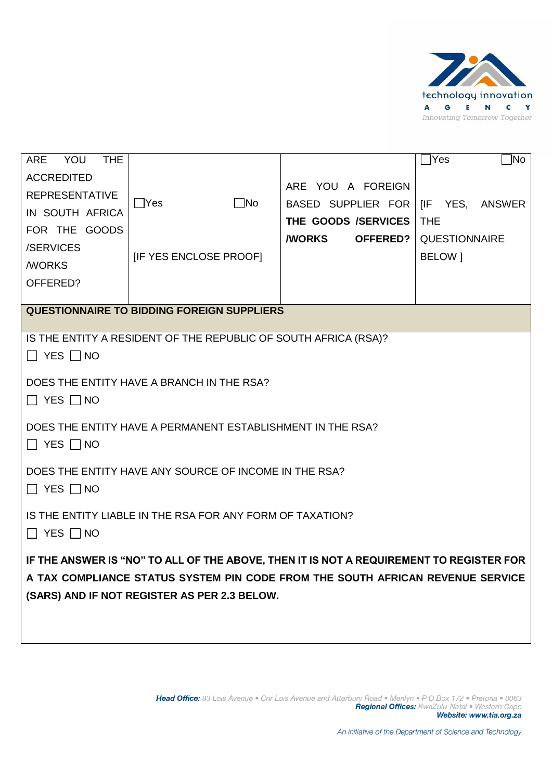

| YOU<br><b>ARE</b><br><b>THE</b> |                                                                                         |                                        | $\exists$ Yes<br>`lNo |
|---------------------------------|-----------------------------------------------------------------------------------------|----------------------------------------|-----------------------|
| <b>ACCREDITED</b>               |                                                                                         | ARE YOU A FOREIGN                      |                       |
| <b>REPRESENTATIVE</b>           | $\Box$ No<br>$\bigcap$ Yes                                                              | BASED SUPPLIER FOR   [IF YES, ANSWER   |                       |
| IN SOUTH AFRICA                 |                                                                                         | THE GOODS /SERVICES                    | <b>THE</b>            |
| FOR THE GOODS                   |                                                                                         | <b><i>NORKS</i></b><br><b>OFFERED?</b> | <b>QUESTIONNAIRE</b>  |
| /SERVICES                       | <b>IF YES ENCLOSE PROOFI</b>                                                            |                                        | BELOW 1               |
| <b><i>NORKS</i></b>             |                                                                                         |                                        |                       |
| OFFERED?                        |                                                                                         |                                        |                       |
|                                 | <b>QUESTIONNAIRE TO BIDDING FOREIGN SUPPLIERS</b>                                       |                                        |                       |
|                                 |                                                                                         |                                        |                       |
|                                 | IS THE ENTITY A RESIDENT OF THE REPUBLIC OF SOUTH AFRICA (RSA)?                         |                                        |                       |
| $\Box$ Yes $\Box$ No            |                                                                                         |                                        |                       |
|                                 | DOES THE ENTITY HAVE A BRANCH IN THE RSA?                                               |                                        |                       |
| $\Box$ Yes $\Box$ No            |                                                                                         |                                        |                       |
|                                 | DOES THE ENTITY HAVE A PERMANENT ESTABLISHMENT IN THE RSA?                              |                                        |                       |
| $\Box$ Yes $\Box$ No            |                                                                                         |                                        |                       |
|                                 |                                                                                         |                                        |                       |
|                                 | DOES THE ENTITY HAVE ANY SOURCE OF INCOME IN THE RSA?                                   |                                        |                       |
| $\Box$ YES $\Box$ NO            |                                                                                         |                                        |                       |
|                                 | IS THE ENTITY LIABLE IN THE RSA FOR ANY FORM OF TAXATION?                               |                                        |                       |
| $\Box$ yes $\Box$ no            |                                                                                         |                                        |                       |
|                                 |                                                                                         |                                        |                       |
|                                 | IF THE ANSWER IS "NO" TO ALL OF THE ABOVE, THEN IT IS NOT A REQUIREMENT TO REGISTER FOR |                                        |                       |
|                                 | A TAX COMPLIANCE STATUS SYSTEM PIN CODE FROM THE SOUTH AFRICAN REVENUE SERVICE          |                                        |                       |
|                                 | (SARS) AND IF NOT REGISTER AS PER 2.3 BELOW.                                            |                                        |                       |
|                                 |                                                                                         |                                        |                       |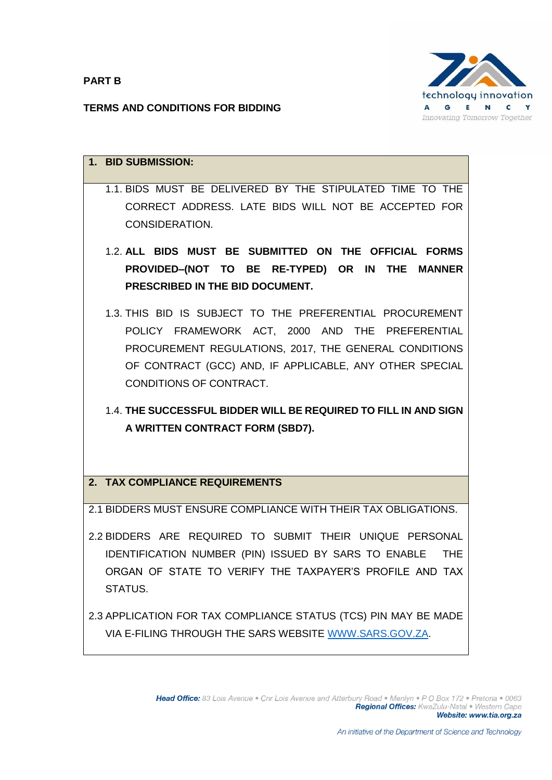**PART B**

technology innovation  $\mathbf{G}$ **E**  $\blacksquare$  $\mathbf{c}$ Y  $\mathbf{A}$ Innovating Tomorrow Together

## **TERMS AND CONDITIONS FOR BIDDING**

| 1. BID SUBMISSION:                                                                                                                                                                                                                                         |
|------------------------------------------------------------------------------------------------------------------------------------------------------------------------------------------------------------------------------------------------------------|
| 1.1. BIDS MUST BE DELIVERED BY THE STIPULATED TIME TO THE<br>CORRECT ADDRESS. LATE BIDS WILL NOT BE ACCEPTED FOR<br>CONSIDERATION.                                                                                                                         |
| 1.2. ALL BIDS MUST BE SUBMITTED ON THE OFFICIAL FORMS<br>PROVIDED-(NOT TO BE RE-TYPED) OR IN THE MANNER<br>PRESCRIBED IN THE BID DOCUMENT.                                                                                                                 |
| 1.3. THIS BID IS SUBJECT TO THE PREFERENTIAL PROCUREMENT<br>POLICY FRAMEWORK ACT, 2000 AND THE PREFERENTIAL<br>PROCUREMENT REGULATIONS, 2017, THE GENERAL CONDITIONS<br>OF CONTRACT (GCC) AND, IF APPLICABLE, ANY OTHER SPECIAL<br>CONDITIONS OF CONTRACT. |
| 1.4. THE SUCCESSFUL BIDDER WILL BE REQUIRED TO FILL IN AND SIGN<br>A WRITTEN CONTRACT FORM (SBD7).                                                                                                                                                         |
| 2. TAX COMPLIANCE REQUIREMENTS                                                                                                                                                                                                                             |
| 2.1 BIDDERS MUST ENSURE COMPLIANCE WITH THEIR TAX OBLIGATIONS.                                                                                                                                                                                             |
| 2.2 BIDDERS ARE REQUIRED TO SUBMIT THEIR UNIQUE PERSONAL<br>IDENTIFICATION NUMBER (PIN) ISSUED BY SARS TO ENABLE<br><b>THE</b><br>ORGAN OF STATE TO VERIFY THE TAXPAYER'S PROFILE AND TAX<br>STATUS.                                                       |
| 2.3 APPLICATION FOR TAX COMPLIANCE STATUS (TCS) PIN MAY BE MADE                                                                                                                                                                                            |

VIA E-FILING THROUGH THE SARS WEBSITE [WWW.SARS.GOV.ZA.](http://www.sars.gov.za/)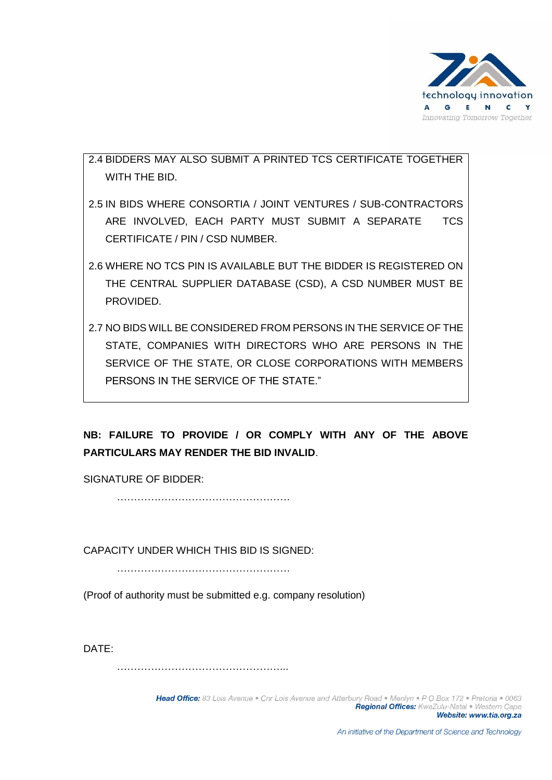

2.4 BIDDERS MAY ALSO SUBMIT A PRINTED TCS CERTIFICATE TOGETHER WITH THE BID.

- 2.5 IN BIDS WHERE CONSORTIA / JOINT VENTURES / SUB-CONTRACTORS ARE INVOLVED, EACH PARTY MUST SUBMIT A SEPARATE TCS CERTIFICATE / PIN / CSD NUMBER.
- 2.6 WHERE NO TCS PIN IS AVAILABLE BUT THE BIDDER IS REGISTERED ON THE CENTRAL SUPPLIER DATABASE (CSD), A CSD NUMBER MUST BE PROVIDED.
- 2.7 NO BIDS WILL BE CONSIDERED FROM PERSONS IN THE SERVICE OF THE STATE, COMPANIES WITH DIRECTORS WHO ARE PERSONS IN THE SERVICE OF THE STATE, OR CLOSE CORPORATIONS WITH MEMBERS PERSONS IN THE SERVICE OF THE STATE."

# **NB: FAILURE TO PROVIDE / OR COMPLY WITH ANY OF THE ABOVE PARTICULARS MAY RENDER THE BID INVALID**.

SIGNATURE OF BIDDER:

……………………………………………

CAPACITY UNDER WHICH THIS BID IS SIGNED:

……………………………………………

(Proof of authority must be submitted e.g. company resolution)

DATE:

…………………………………………...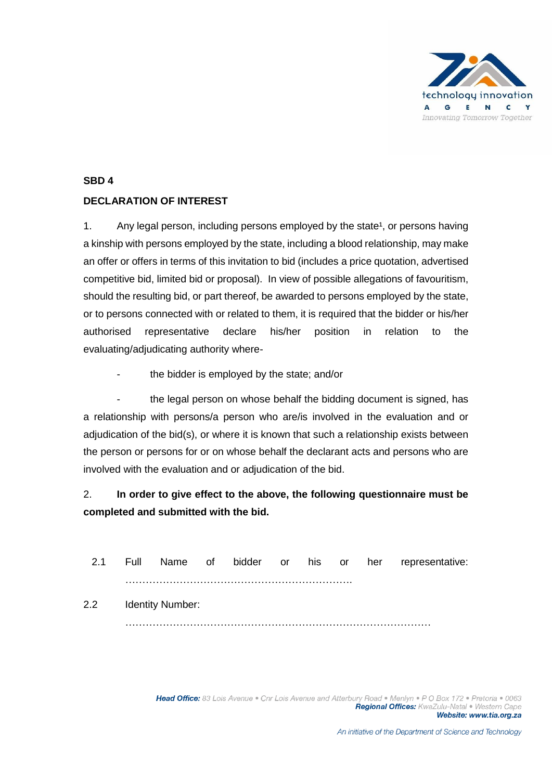

#### **SBD 4**

## **DECLARATION OF INTEREST**

1. Any legal person, including persons employed by the state<sup>1</sup>, or persons having a kinship with persons employed by the state, including a blood relationship, may make an offer or offers in terms of this invitation to bid (includes a price quotation, advertised competitive bid, limited bid or proposal). In view of possible allegations of favouritism, should the resulting bid, or part thereof, be awarded to persons employed by the state, or to persons connected with or related to them, it is required that the bidder or his/her authorised representative declare his/her position in relation to the evaluating/adjudicating authority where-

the bidder is employed by the state; and/or

the legal person on whose behalf the bidding document is signed, has a relationship with persons/a person who are/is involved in the evaluation and or adjudication of the bid(s), or where it is known that such a relationship exists between the person or persons for or on whose behalf the declarant acts and persons who are involved with the evaluation and or adjudication of the bid.

# 2. **In order to give effect to the above, the following questionnaire must be completed and submitted with the bid.**

| 2.1              |                  |  |  |  | Full Name of bidder or his or her representative: |
|------------------|------------------|--|--|--|---------------------------------------------------|
|                  |                  |  |  |  |                                                   |
| 2.2 <sub>2</sub> | Identity Number: |  |  |  |                                                   |
|                  |                  |  |  |  |                                                   |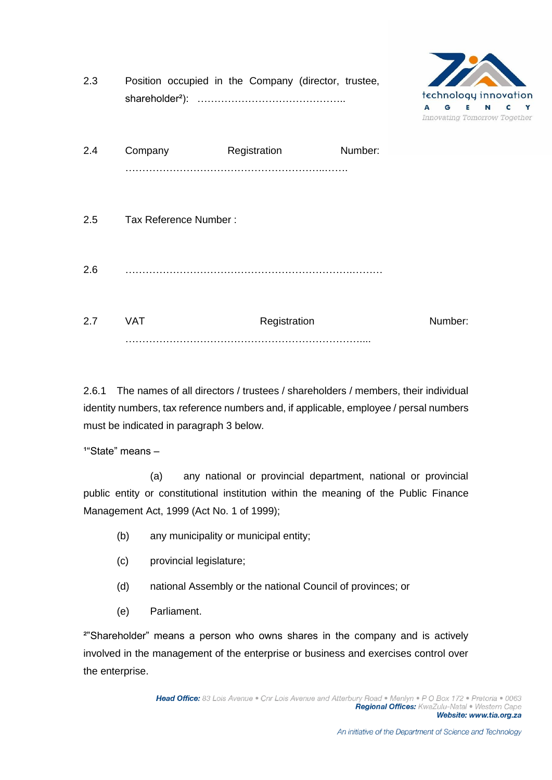| 2.3 |                       | Position occupied in the Company (director, trustee, |         | technology innovation<br>A<br>G<br>Innovating Tomorrow Together | N | Y |
|-----|-----------------------|------------------------------------------------------|---------|-----------------------------------------------------------------|---|---|
| 2.4 | Company               | Registration                                         | Number: |                                                                 |   |   |
| 2.5 | Tax Reference Number: |                                                      |         |                                                                 |   |   |
| 2.6 |                       |                                                      |         |                                                                 |   |   |
| 2.7 | <b>VAT</b>            | Registration                                         |         | Number:                                                         |   |   |

2.6.1 The names of all directors / trustees / shareholders / members, their individual identity numbers, tax reference numbers and, if applicable, employee / persal numbers must be indicated in paragraph 3 below.

 $1^{\circ}$ State" means –

 (a) any national or provincial department, national or provincial public entity or constitutional institution within the meaning of the Public Finance Management Act, 1999 (Act No. 1 of 1999);

- (b) any municipality or municipal entity;
- (c) provincial legislature;
- (d) national Assembly or the national Council of provinces; or
- (e) Parliament.

²"Shareholder" means a person who owns shares in the company and is actively involved in the management of the enterprise or business and exercises control over the enterprise.

**BACK**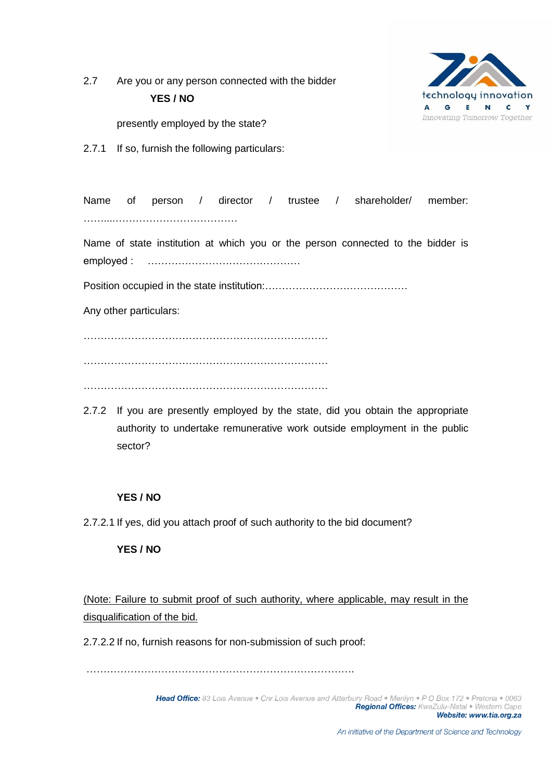2.7 Are you or any person connected with the bidder **YES / NO**



presently employed by the state?

2.7.1 If so, furnish the following particulars:

Name of person / director / trustee / shareholder/ member: ……....……………………………… Name of state institution at which you or the person connected to the bidder is employed : ……………………………………… Position occupied in the state institution:…………………………………… Any other particulars: ……………………………………………………………… ………………………………………………………………

………………………………………………………………

2.7.2 If you are presently employed by the state, did you obtain the appropriate authority to undertake remunerative work outside employment in the public sector?

#### **YES / NO**

2.7.2.1 If yes, did you attach proof of such authority to the bid document?

#### **YES / NO**

(Note: Failure to submit proof of such authority, where applicable, may result in the disqualification of the bid.

2.7.2.2 If no, furnish reasons for non-submission of such proof:

…………………………………………………………………….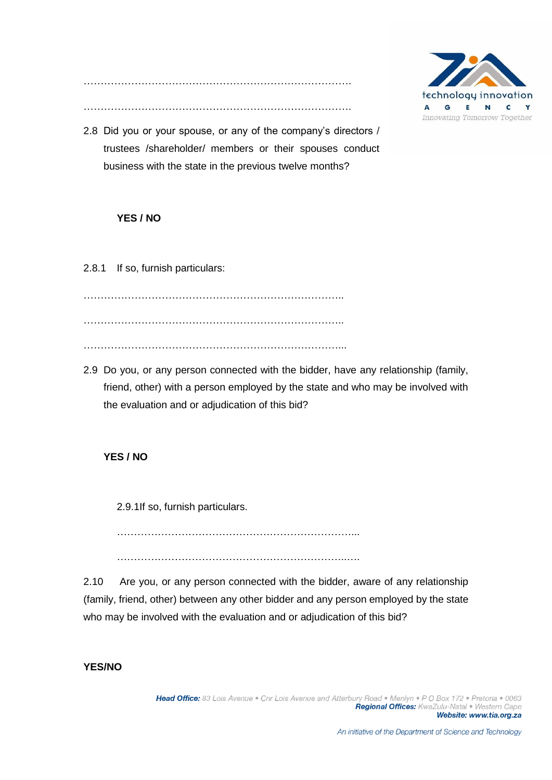

……………………………………………………………………. …………………………………………………………………….

2.8 Did you or your spouse, or any of the company's directors / trustees /shareholder/ members or their spouses conduct business with the state in the previous twelve months?

## **YES / NO**

2.8.1 If so, furnish particulars:

………………………………………………………………….. ………………………………………………………………….. …………………………………………………………………...

2.9 Do you, or any person connected with the bidder, have any relationship (family, friend, other) with a person employed by the state and who may be involved with the evaluation and or adjudication of this bid?

#### **YES / NO**

2.9.1If so, furnish particulars.

……………………………………………………………...

…………………………………………………………..….

2.10 Are you, or any person connected with the bidder, aware of any relationship (family, friend, other) between any other bidder and any person employed by the state who may be involved with the evaluation and or adjudication of this bid?

## **YES/NO**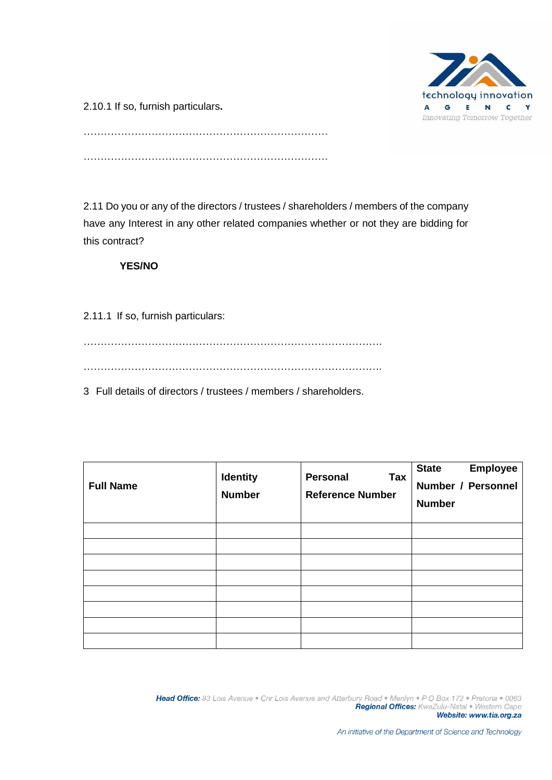

2.10.1 If so, furnish particulars**.**

……………………………………………………………… ………………………………………………………………

2.11 Do you or any of the directors / trustees / shareholders / members of the company have any Interest in any other related companies whether or not they are bidding for this contract?

# **YES/NO**

2.11.1 If so, furnish particulars:

 $\mathcal{L}^{(n)}$ 

…………………………………………………………………………….

3 Full details of directors / trustees / members / shareholders.

| <b>Full Name</b> | <b>Identity</b><br><b>Number</b> | <b>Personal</b><br>Tax<br><b>Reference Number</b> | <b>Employee</b><br><b>State</b><br>Number / Personnel<br><b>Number</b> |
|------------------|----------------------------------|---------------------------------------------------|------------------------------------------------------------------------|
|                  |                                  |                                                   |                                                                        |
|                  |                                  |                                                   |                                                                        |
|                  |                                  |                                                   |                                                                        |
|                  |                                  |                                                   |                                                                        |
|                  |                                  |                                                   |                                                                        |
|                  |                                  |                                                   |                                                                        |
|                  |                                  |                                                   |                                                                        |
|                  |                                  |                                                   |                                                                        |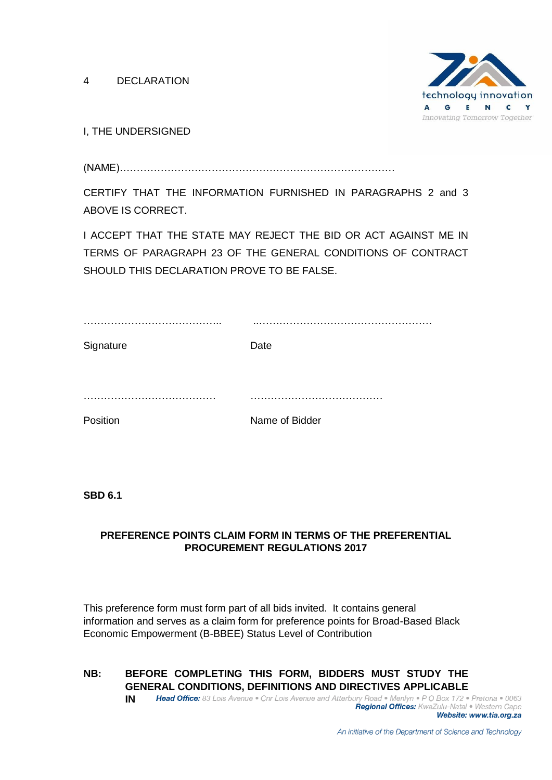4 DECLARATION



I, THE UNDERSIGNED

(NAME)………………………………………………………………………

CERTIFY THAT THE INFORMATION FURNISHED IN PARAGRAPHS 2 and 3 ABOVE IS CORRECT.

I ACCEPT THAT THE STATE MAY REJECT THE BID OR ACT AGAINST ME IN TERMS OF PARAGRAPH 23 OF THE GENERAL CONDITIONS OF CONTRACT SHOULD THIS DECLARATION PROVE TO BE FALSE.

| Signature | Date           |
|-----------|----------------|
|           |                |
|           |                |
|           |                |
| Position  | Name of Bidder |

**SBD 6.1**

### **PREFERENCE POINTS CLAIM FORM IN TERMS OF THE PREFERENTIAL PROCUREMENT REGULATIONS 2017**

This preference form must form part of all bids invited. It contains general information and serves as a claim form for preference points for Broad-Based Black Economic Empowerment (B-BBEE) Status Level of Contribution

**NB: BEFORE COMPLETING THIS FORM, BIDDERS MUST STUDY THE GENERAL CONDITIONS, DEFINITIONS AND DIRECTIVES APPLICABLE**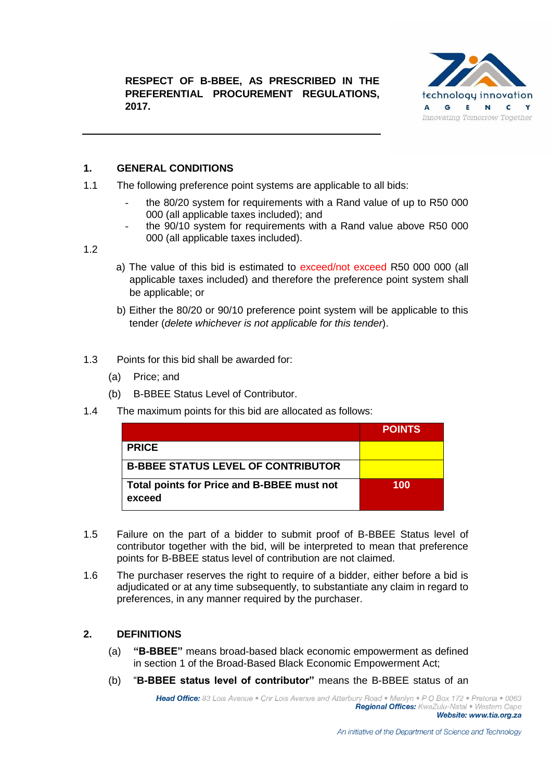

## **1. GENERAL CONDITIONS**

- 1.1 The following preference point systems are applicable to all bids:
	- the 80/20 system for requirements with a Rand value of up to R50 000 000 (all applicable taxes included); and
	- the 90/10 system for requirements with a Rand value above R50 000 000 (all applicable taxes included).

#### 1.2

- a) The value of this bid is estimated to exceed/not exceed R50 000 000 (all applicable taxes included) and therefore the preference point system shall be applicable; or
- b) Either the 80/20 or 90/10 preference point system will be applicable to this tender (*delete whichever is not applicable for this tender*).
- 1.3 Points for this bid shall be awarded for:
	- (a) Price; and
	- (b) B-BBEE Status Level of Contributor.
- 1.4 The maximum points for this bid are allocated as follows:

|                                                      | <b>POINTS</b> |
|------------------------------------------------------|---------------|
| <b>PRICE</b>                                         |               |
| <b>B-BBEE STATUS LEVEL OF CONTRIBUTOR</b>            |               |
| Total points for Price and B-BBEE must not<br>exceed | 100           |

- 1.5 Failure on the part of a bidder to submit proof of B-BBEE Status level of contributor together with the bid, will be interpreted to mean that preference points for B-BBEE status level of contribution are not claimed.
- 1.6 The purchaser reserves the right to require of a bidder, either before a bid is adjudicated or at any time subsequently, to substantiate any claim in regard to preferences, in any manner required by the purchaser.

#### **2. DEFINITIONS**

- (a) **"B-BBEE"** means broad-based black economic empowerment as defined in section 1 of the Broad-Based Black Economic Empowerment Act;
- (b) "**B-BBEE status level of contributor"** means the B-BBEE status of an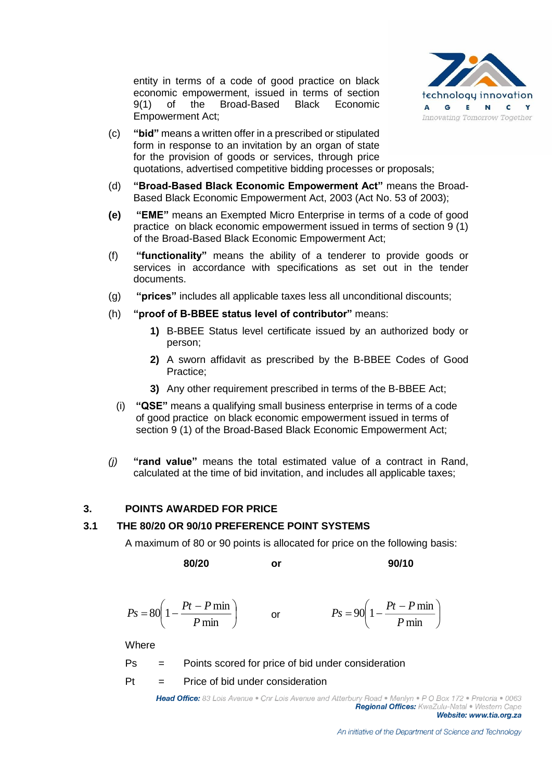entity in terms of a code of good practice on black economic empowerment, issued in terms of section 9(1) of the Broad-Based Black Economic Empowerment Act;



- (c) **"bid"** means a written offer in a prescribed or stipulated form in response to an invitation by an organ of state for the provision of goods or services, through price quotations, advertised competitive bidding processes or proposals;
- (d) **"Broad-Based Black Economic Empowerment Act"** means the Broad-Based Black Economic Empowerment Act, 2003 (Act No. 53 of 2003);
- **(e) "EME"** means an Exempted Micro Enterprise in terms of a code of good practice on black economic empowerment issued in terms of section 9 (1) of the Broad-Based Black Economic Empowerment Act;
- (f) **"functionality"** means the ability of a tenderer to provide goods or services in accordance with specifications as set out in the tender documents.
- (g) **"prices"** includes all applicable taxes less all unconditional discounts;
- (h) **"proof of B-BBEE status level of contributor"** means:
	- **1)** B-BBEE Status level certificate issued by an authorized body or person;
	- **2)** A sworn affidavit as prescribed by the B-BBEE Codes of Good Practice;
	- **3)** Any other requirement prescribed in terms of the B-BBEE Act;
	- (i) **"QSE"** means a qualifying small business enterprise in terms of a code of good practice on black economic empowerment issued in terms of section 9 (1) of the Broad-Based Black Economic Empowerment Act;
- *(j)* **"rand value"** means the total estimated value of a contract in Rand, calculated at the time of bid invitation, and includes all applicable taxes;

#### **3. POINTS AWARDED FOR PRICE**

#### **3.1 THE 80/20 OR 90/10 PREFERENCE POINT SYSTEMS**

A maximum of 80 or 90 points is allocated for price on the following basis:

**80/20 or 90/10**

$$
Ps = 80\left(1 - \frac{Pt - P \min P}{ \min}\right) \qquad \text{or} \qquad \qquad Ps = 90\left(1 - \frac{Pt - P \min P}{ \min}\right)
$$

**Where** 

- Ps = Points scored for price of bid under consideration
- $Pt =$  Price of bid under consideration

Head Office: 83 Lois Avenue . Cnr Lois Avenue and Atterbury Road . Menlyn . P O Box 172 . Pretoria . 0063 Regional Offices: KwaZulu-Natal . Western Cape Website: www.tia.org.za

 $\overline{\phantom{a}}$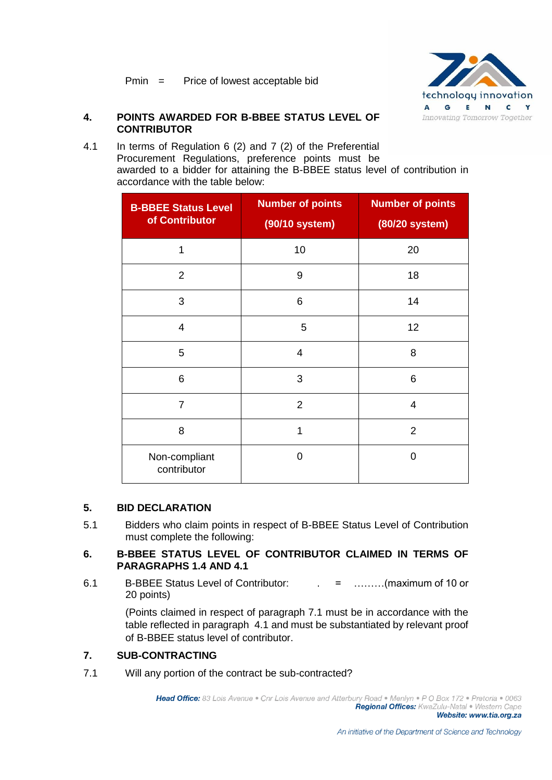

#### **4. POINTS AWARDED FOR B-BBEE STATUS LEVEL OF CONTRIBUTOR**

4.1 In terms of Regulation 6 (2) and 7 (2) of the Preferential Procurement Regulations, preference points must be awarded to a bidder for attaining the B-BBEE status level of contribution in accordance with the table below:

| <b>B-BBEE Status Level</b><br>of Contributor | <b>Number of points</b><br>(90/10 system) | <b>Number of points</b><br>(80/20 system) |
|----------------------------------------------|-------------------------------------------|-------------------------------------------|
| 1                                            | 10                                        | 20                                        |
| $\overline{2}$                               | 9                                         | 18                                        |
| 3                                            | 6                                         | 14                                        |
| $\overline{4}$                               | 5                                         | 12                                        |
| 5                                            | $\overline{4}$                            | 8                                         |
| 6                                            | 3                                         | 6                                         |
| $\overline{7}$                               | $\overline{2}$                            | $\overline{4}$                            |
| 8                                            | 1                                         | $\overline{2}$                            |
| Non-compliant<br>contributor                 | 0                                         | 0                                         |

#### **5. BID DECLARATION**

5.1 Bidders who claim points in respect of B-BBEE Status Level of Contribution must complete the following:

#### **6. B-BBEE STATUS LEVEL OF CONTRIBUTOR CLAIMED IN TERMS OF PARAGRAPHS 1.4 AND 4.1**

6.1 B-BBEE Status Level of Contributor: . = ………(maximum of 10 or 20 points)

> (Points claimed in respect of paragraph 7.1 must be in accordance with the table reflected in paragraph 4.1 and must be substantiated by relevant proof of B-BBEE status level of contributor.

#### **7. SUB-CONTRACTING**

7.1 Will any portion of the contract be sub-contracted?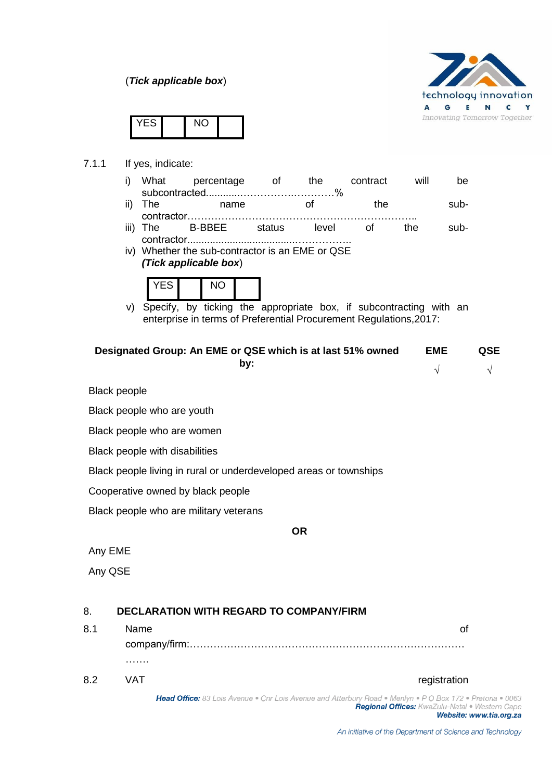(*Tick applicable box*)



|  | - | . . |  |
|--|---|-----|--|
|--|---|-----|--|

7.1.1 If yes, indicate:

|     | i) What | percentage | the. | contract | will | be |
|-----|---------|------------|------|----------|------|----|
|     |         |            |      |          |      |    |
| --- |         |            |      |          |      |    |

- ii) The mame of the subcontractor…………………………………………………………..
- iii) The B-BBEE status level of the subcontractor......................................……………..
- iv) Whether the sub-contractor is an EME or QSE *(Tick applicable box*)



v) Specify, by ticking the appropriate box, if subcontracting with an enterprise in terms of Preferential Procurement Regulations,2017:

| Designated Group: An EME or QSE which is at last 51% owned | <b>EME</b> | <b>QSE</b> |
|------------------------------------------------------------|------------|------------|
| bv:                                                        |            | $\sqrt{ }$ |
| Black people                                               |            |            |

Black people who are youth

Black people who are women

Black people with disabilities

Black people living in rural or underdeveloped areas or townships

Cooperative owned by black people

Black people who are military veterans

#### **OR**

Any EME

Any QSE

# 8. **DECLARATION WITH REGARD TO COMPANY/FIRM**

| 8.1 | Name |              |
|-----|------|--------------|
|     |      |              |
|     | .    |              |
| 8.2 | VAT  | registration |

Head Office: 83 Lois Avenue . Cnr Lois Avenue and Atterbury Road . Menlyn . P O Box 172 . Pretoria . 0063 Regional Offices: KwaZulu-Natal . Western Cape

Website: www.tia.org.za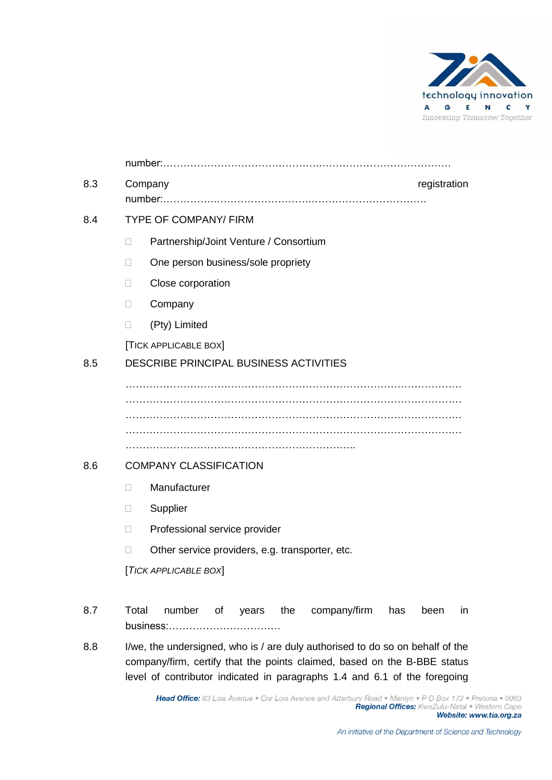

|        | registration<br>Company                                                                                                                                   |
|--------|-----------------------------------------------------------------------------------------------------------------------------------------------------------|
|        | <b>TYPE OF COMPANY/ FIRM</b>                                                                                                                              |
| $\Box$ | Partnership/Joint Venture / Consortium                                                                                                                    |
| $\Box$ | One person business/sole propriety                                                                                                                        |
| $\Box$ | Close corporation                                                                                                                                         |
| $\Box$ | Company                                                                                                                                                   |
| $\Box$ | (Pty) Limited                                                                                                                                             |
|        | [TICK APPLICABLE BOX]                                                                                                                                     |
|        | DESCRIBE PRINCIPAL BUSINESS ACTIVITIES                                                                                                                    |
|        |                                                                                                                                                           |
|        |                                                                                                                                                           |
|        |                                                                                                                                                           |
|        |                                                                                                                                                           |
|        | <b>COMPANY CLASSIFICATION</b>                                                                                                                             |
| $\Box$ | Manufacturer                                                                                                                                              |
| $\Box$ | Supplier                                                                                                                                                  |
| $\Box$ | Professional service provider                                                                                                                             |
| $\Box$ | Other service providers, e.g. transporter, etc.                                                                                                           |
|        | [TICK APPLICABLE BOX]                                                                                                                                     |
|        | Total<br>number<br>years the<br>company/firm<br>of<br>has<br>in<br>been                                                                                   |
|        | I/we, the undersigned, who is / are duly authorised to do so on behalf of the<br>company/firm, certify that the points claimed, based on the B-BBE status |

level of contributor indicated in paragraphs 1.4 and 6.1 of the foregoing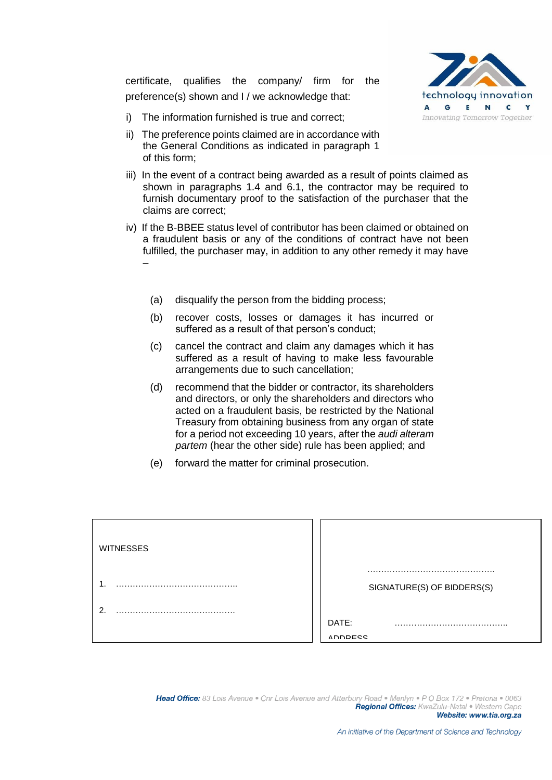certificate, qualifies the company/ firm for the preference(s) shown and I / we acknowledge that:



- i) The information furnished is true and correct;
- ii) The preference points claimed are in accordance with the General Conditions as indicated in paragraph 1 of this form;
- iii) In the event of a contract being awarded as a result of points claimed as shown in paragraphs 1.4 and 6.1, the contractor may be required to furnish documentary proof to the satisfaction of the purchaser that the claims are correct;
- iv) If the B-BBEE status level of contributor has been claimed or obtained on a fraudulent basis or any of the conditions of contract have not been fulfilled, the purchaser may, in addition to any other remedy it may have –
	- (a) disqualify the person from the bidding process;
	- (b) recover costs, losses or damages it has incurred or suffered as a result of that person's conduct;
	- (c) cancel the contract and claim any damages which it has suffered as a result of having to make less favourable arrangements due to such cancellation;
	- (d) recommend that the bidder or contractor, its shareholders and directors, or only the shareholders and directors who acted on a fraudulent basis, be restricted by the National Treasury from obtaining business from any organ of state for a period not exceeding 10 years, after the *audi alteram partem* (hear the other side) rule has been applied; and
	- (e) forward the matter for criminal prosecution.

| <b>WITNESSES</b> |                            |
|------------------|----------------------------|
|                  | SIGNATURE(S) OF BIDDERS(S) |
| ົ<br>            | DATE:<br><b>ADDDECC</b>    |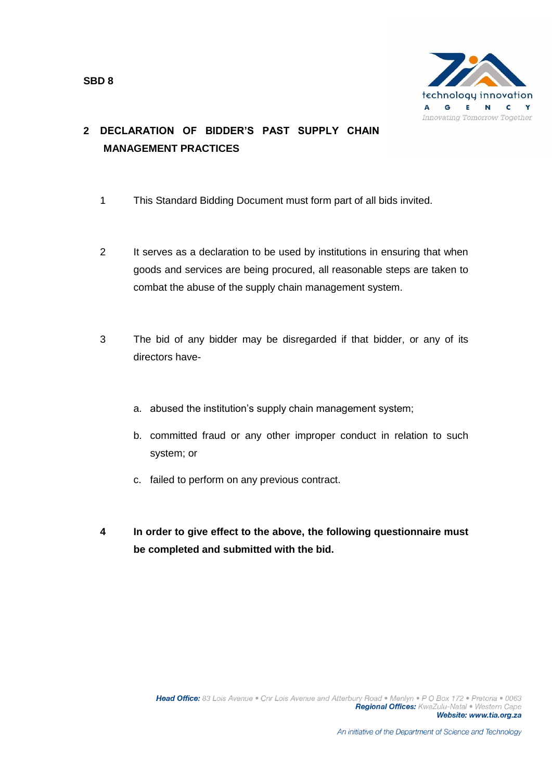

# **2 DECLARATION OF BIDDER'S PAST SUPPLY CHAIN MANAGEMENT PRACTICES**

- 1 This Standard Bidding Document must form part of all bids invited.
- 2 It serves as a declaration to be used by institutions in ensuring that when goods and services are being procured, all reasonable steps are taken to combat the abuse of the supply chain management system.
- 3 The bid of any bidder may be disregarded if that bidder, or any of its directors have
	- a. abused the institution's supply chain management system;
	- b. committed fraud or any other improper conduct in relation to such system; or
	- c. failed to perform on any previous contract.
- **4 In order to give effect to the above, the following questionnaire must be completed and submitted with the bid.**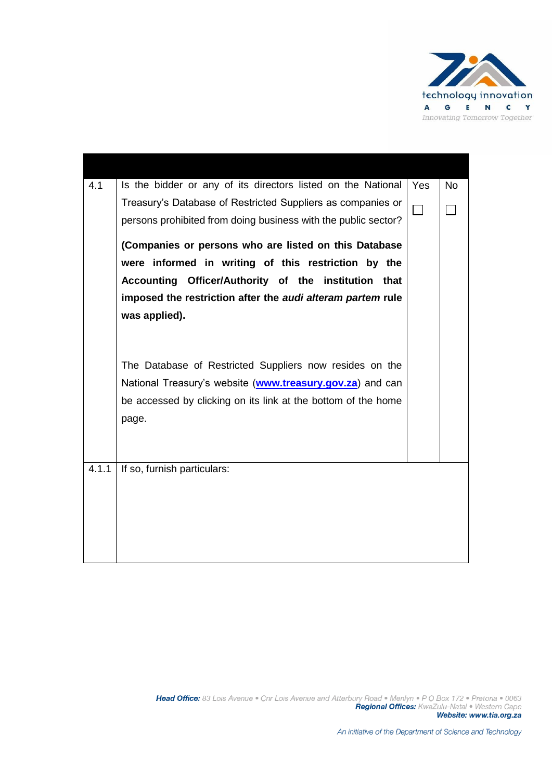

| 4.1   | Is the bidder or any of its directors listed on the National                                                                                                                                            | Yes    | <b>No</b> |
|-------|---------------------------------------------------------------------------------------------------------------------------------------------------------------------------------------------------------|--------|-----------|
|       | Treasury's Database of Restricted Suppliers as companies or<br>persons prohibited from doing business with the public sector?                                                                           | $\Box$ |           |
|       | (Companies or persons who are listed on this Database<br>were informed in writing of this restriction by the                                                                                            |        |           |
|       | Accounting Officer/Authority of the institution that<br>imposed the restriction after the audi alteram partem rule                                                                                      |        |           |
|       | was applied).                                                                                                                                                                                           |        |           |
|       | The Database of Restricted Suppliers now resides on the<br>National Treasury's website ( <b>www.treasury.gov.za</b> ) and can<br>be accessed by clicking on its link at the bottom of the home<br>page. |        |           |
| 4.1.1 | If so, furnish particulars:                                                                                                                                                                             |        |           |
|       |                                                                                                                                                                                                         |        |           |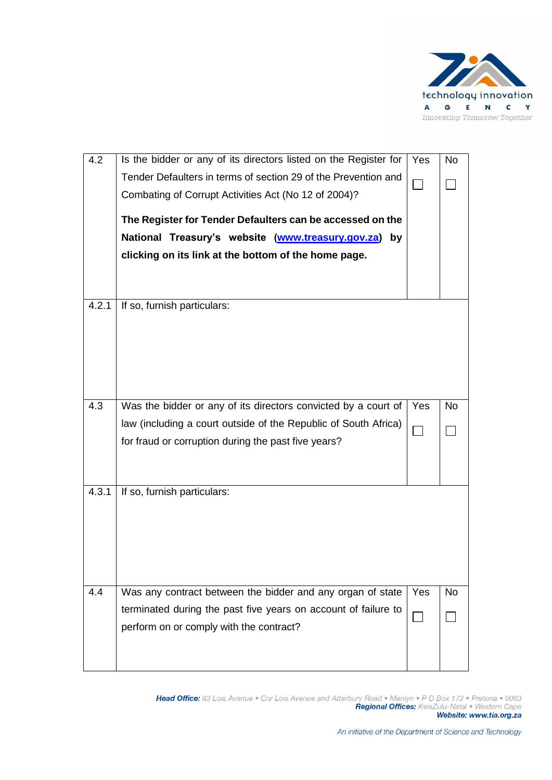

| 4.2   | Is the bidder or any of its directors listed on the Register for | Yes                         | <b>No</b> |
|-------|------------------------------------------------------------------|-----------------------------|-----------|
|       | Tender Defaulters in terms of section 29 of the Prevention and   |                             |           |
|       | Combating of Corrupt Activities Act (No 12 of 2004)?             |                             |           |
|       | The Register for Tender Defaulters can be accessed on the        |                             |           |
|       | National Treasury's website (www.treasury.gov.za) by             |                             |           |
|       | clicking on its link at the bottom of the home page.             |                             |           |
|       |                                                                  |                             |           |
| 4.2.1 | If so, furnish particulars:                                      |                             |           |
|       |                                                                  |                             |           |
|       |                                                                  |                             |           |
|       |                                                                  |                             |           |
|       |                                                                  |                             |           |
| 4.3   | Was the bidder or any of its directors convicted by a court of   | Yes                         | <b>No</b> |
|       | law (including a court outside of the Republic of South Africa)  |                             |           |
|       | for fraud or corruption during the past five years?              | $\mathcal{L}_{\mathcal{A}}$ |           |
|       |                                                                  |                             |           |
|       |                                                                  |                             |           |
| 4.3.1 | If so, furnish particulars:                                      |                             |           |
|       |                                                                  |                             |           |
|       |                                                                  |                             |           |
|       |                                                                  |                             |           |
|       |                                                                  |                             |           |
| 4.4   | Was any contract between the bidder and any organ of state       | Yes                         | <b>No</b> |
|       | terminated during the past five years on account of failure to   |                             |           |
|       | perform on or comply with the contract?                          |                             |           |
|       |                                                                  |                             |           |
|       |                                                                  |                             |           |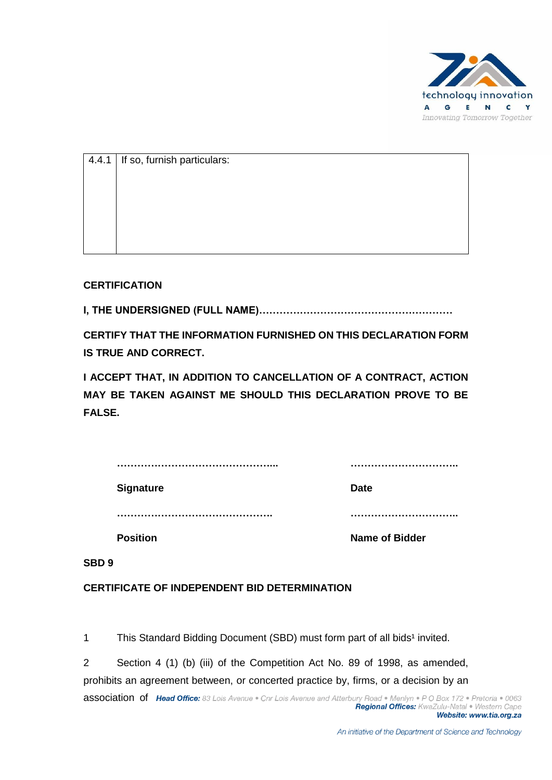

| $ 4.4.1 $ If so, furnish particulars: |
|---------------------------------------|
|                                       |
|                                       |
|                                       |
|                                       |
|                                       |

### **CERTIFICATION**

**I, THE UNDERSIGNED (FULL NAME)…………………………………………………**

**CERTIFY THAT THE INFORMATION FURNISHED ON THIS DECLARATION FORM IS TRUE AND CORRECT.**

**I ACCEPT THAT, IN ADDITION TO CANCELLATION OF A CONTRACT, ACTION MAY BE TAKEN AGAINST ME SHOULD THIS DECLARATION PROVE TO BE FALSE.**

| <b>Signature</b> | <b>Date</b>           |
|------------------|-----------------------|
|                  |                       |
| <b>Position</b>  | <b>Name of Bidder</b> |
| SBD <sub>9</sub> |                       |

**CERTIFICATE OF INDEPENDENT BID DETERMINATION**

1 This Standard Bidding Document (SBD) must form part of all bids<sup>1</sup> invited.

2 Section 4 (1) (b) (iii) of the Competition Act No. 89 of 1998, as amended, prohibits an agreement between, or concerted practice by, firms, or a decision by an association of Head Office: 83 Lois Avenue . Cnr Lois Avenue and Atterbury Road . Menlyn . P O Box 172 . Pretoria . 0063 Regional Offices: KwaZulu-Natal . Western Cape Website: www.tia.org.za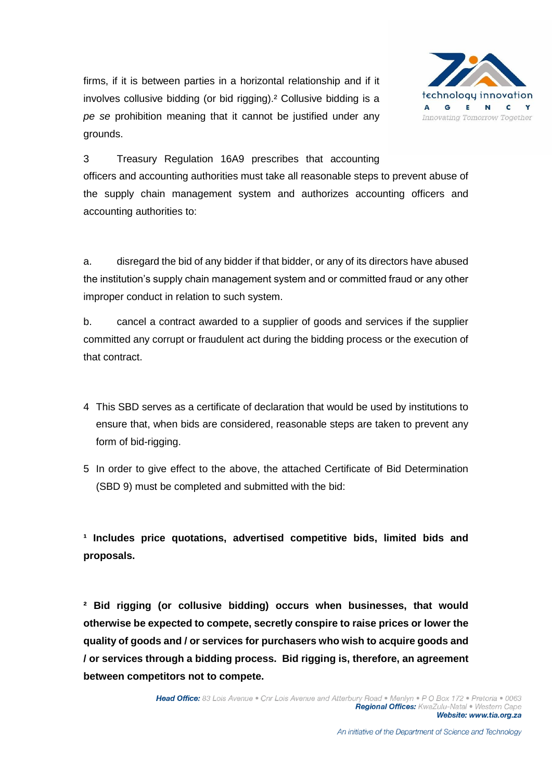firms, if it is between parties in a horizontal relationship and if it involves collusive bidding (or bid rigging).² Collusive bidding is a *pe se* prohibition meaning that it cannot be justified under any grounds.



3 Treasury Regulation 16A9 prescribes that accounting officers and accounting authorities must take all reasonable steps to prevent abuse of the supply chain management system and authorizes accounting officers and accounting authorities to:

a. disregard the bid of any bidder if that bidder, or any of its directors have abused the institution's supply chain management system and or committed fraud or any other improper conduct in relation to such system.

b. cancel a contract awarded to a supplier of goods and services if the supplier committed any corrupt or fraudulent act during the bidding process or the execution of that contract.

- 4 This SBD serves as a certificate of declaration that would be used by institutions to ensure that, when bids are considered, reasonable steps are taken to prevent any form of bid-rigging.
- 5 In order to give effect to the above, the attached Certificate of Bid Determination (SBD 9) must be completed and submitted with the bid:

**¹ Includes price quotations, advertised competitive bids, limited bids and proposals.**

**² Bid rigging (or collusive bidding) occurs when businesses, that would otherwise be expected to compete, secretly conspire to raise prices or lower the quality of goods and / or services for purchasers who wish to acquire goods and / or services through a bidding process. Bid rigging is, therefore, an agreement between competitors not to compete.**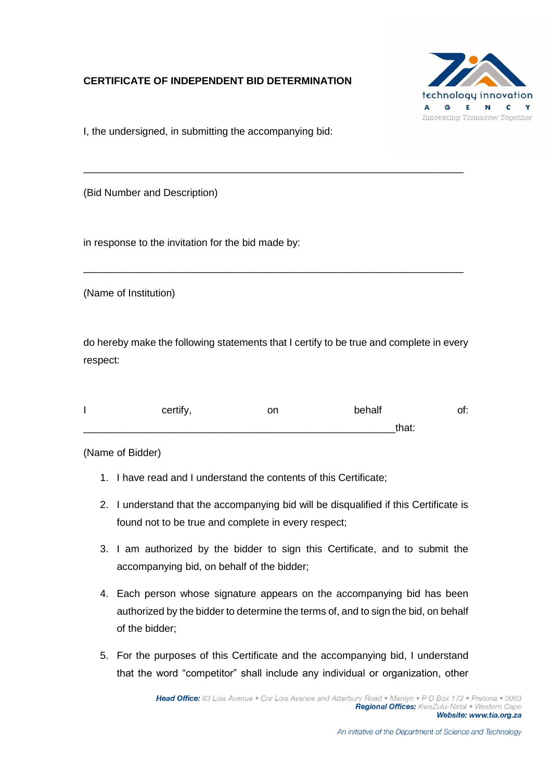## **CERTIFICATE OF INDEPENDENT BID DETERMINATION**



I, the undersigned, in submitting the accompanying bid:

(Bid Number and Description)

in response to the invitation for the bid made by:

(Name of Institution)

do hereby make the following statements that I certify to be true and complete in every respect:

\_\_\_\_\_\_\_\_\_\_\_\_\_\_\_\_\_\_\_\_\_\_\_\_\_\_\_\_\_\_\_\_\_\_\_\_\_\_\_\_\_\_\_\_\_\_\_\_\_\_\_\_\_\_\_\_\_\_\_\_\_\_\_\_\_\_\_

\_\_\_\_\_\_\_\_\_\_\_\_\_\_\_\_\_\_\_\_\_\_\_\_\_\_\_\_\_\_\_\_\_\_\_\_\_\_\_\_\_\_\_\_\_\_\_\_\_\_\_\_\_\_\_\_\_\_\_\_\_\_\_\_\_\_\_

| certify, | on | behalf |       | of: |
|----------|----|--------|-------|-----|
|          |    |        | that: |     |

(Name of Bidder)

- 1. I have read and I understand the contents of this Certificate;
- 2. I understand that the accompanying bid will be disqualified if this Certificate is found not to be true and complete in every respect;
- 3. I am authorized by the bidder to sign this Certificate, and to submit the accompanying bid, on behalf of the bidder;
- 4. Each person whose signature appears on the accompanying bid has been authorized by the bidder to determine the terms of, and to sign the bid, on behalf of the bidder;
- 5. For the purposes of this Certificate and the accompanying bid, I understand that the word "competitor" shall include any individual or organization, other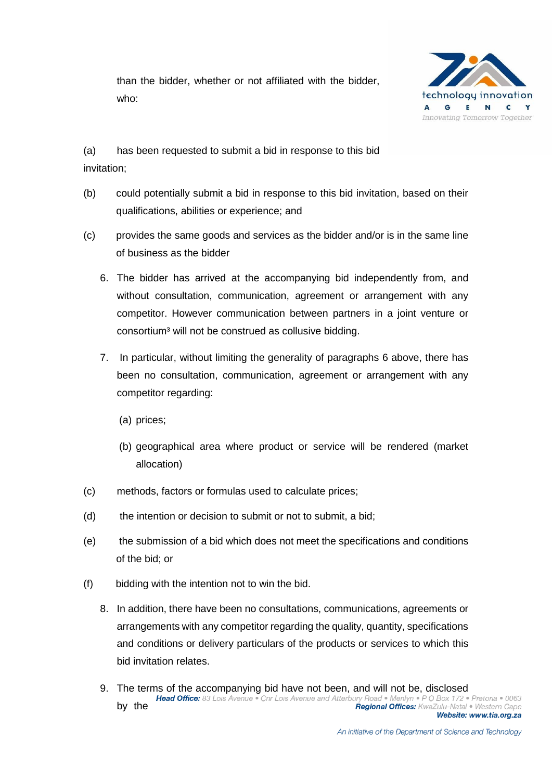than the bidder, whether or not affiliated with the bidder, who:



(a) has been requested to submit a bid in response to this bid invitation;

- (b) could potentially submit a bid in response to this bid invitation, based on their qualifications, abilities or experience; and
- (c) provides the same goods and services as the bidder and/or is in the same line of business as the bidder
	- 6. The bidder has arrived at the accompanying bid independently from, and without consultation, communication, agreement or arrangement with any competitor. However communication between partners in a joint venture or consortium<sup>3</sup> will not be construed as collusive bidding.
	- 7. In particular, without limiting the generality of paragraphs 6 above, there has been no consultation, communication, agreement or arrangement with any competitor regarding:
		- (a) prices;
		- (b) geographical area where product or service will be rendered (market allocation)
- (c) methods, factors or formulas used to calculate prices;
- (d) the intention or decision to submit or not to submit, a bid;
- (e) the submission of a bid which does not meet the specifications and conditions of the bid; or
- (f) bidding with the intention not to win the bid.
	- 8. In addition, there have been no consultations, communications, agreements or arrangements with any competitor regarding the quality, quantity, specifications and conditions or delivery particulars of the products or services to which this bid invitation relates.
	- 9. The terms of the accompanying bid have not been, and will not be, disclosed Head Office: 83 Lois Avenue . Cnr Lois Avenue and Atterbury Road . Menlyn . P O Box 172 . Pretoria . 0063 by the Regional Offices: KwaZulu-Natal . Western Cape Website: www.tia.org.za